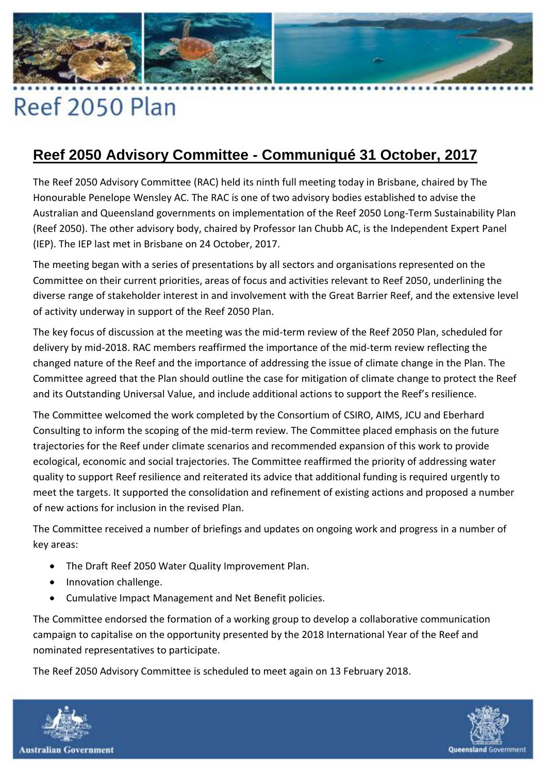

## Reef 2050 Plan

## **Reef 2050 Advisory Committee - Communiqué 31 October, 2017**

The Reef 2050 Advisory Committee (RAC) held its ninth full meeting today in Brisbane, chaired by The Honourable Penelope Wensley AC. The RAC is one of two advisory bodies established to advise the Australian and Queensland governments on implementation of the Reef 2050 Long-Term Sustainability Plan (Reef 2050). The other advisory body, chaired by Professor Ian Chubb AC, is the Independent Expert Panel (IEP). The IEP last met in Brisbane on 24 October, 2017.

The meeting began with a series of presentations by all sectors and organisations represented on the Committee on their current priorities, areas of focus and activities relevant to Reef 2050, underlining the diverse range of stakeholder interest in and involvement with the Great Barrier Reef, and the extensive level of activity underway in support of the Reef 2050 Plan.

The key focus of discussion at the meeting was the mid-term review of the Reef 2050 Plan, scheduled for delivery by mid-2018. RAC members reaffirmed the importance of the mid-term review reflecting the changed nature of the Reef and the importance of addressing the issue of climate change in the Plan. The Committee agreed that the Plan should outline the case for mitigation of climate change to protect the Reef and its Outstanding Universal Value, and include additional actions to support the Reef's resilience.

The Committee welcomed the work completed by the Consortium of CSIRO, AIMS, JCU and Eberhard Consulting to inform the scoping of the mid-term review. The Committee placed emphasis on the future trajectories for the Reef under climate scenarios and recommended expansion of this work to provide ecological, economic and social trajectories. The Committee reaffirmed the priority of addressing water quality to support Reef resilience and reiterated its advice that additional funding is required urgently to meet the targets. It supported the consolidation and refinement of existing actions and proposed a number of new actions for inclusion in the revised Plan.

The Committee received a number of briefings and updates on ongoing work and progress in a number of key areas:

- The Draft Reef 2050 Water Quality Improvement Plan.
- Innovation challenge.
- Cumulative Impact Management and Net Benefit policies.

The Committee endorsed the formation of a working group to develop a collaborative communication campaign to capitalise on the opportunity presented by the 2018 International Year of the Reef and nominated representatives to participate.

The Reef 2050 Advisory Committee is scheduled to meet again on 13 February 2018.